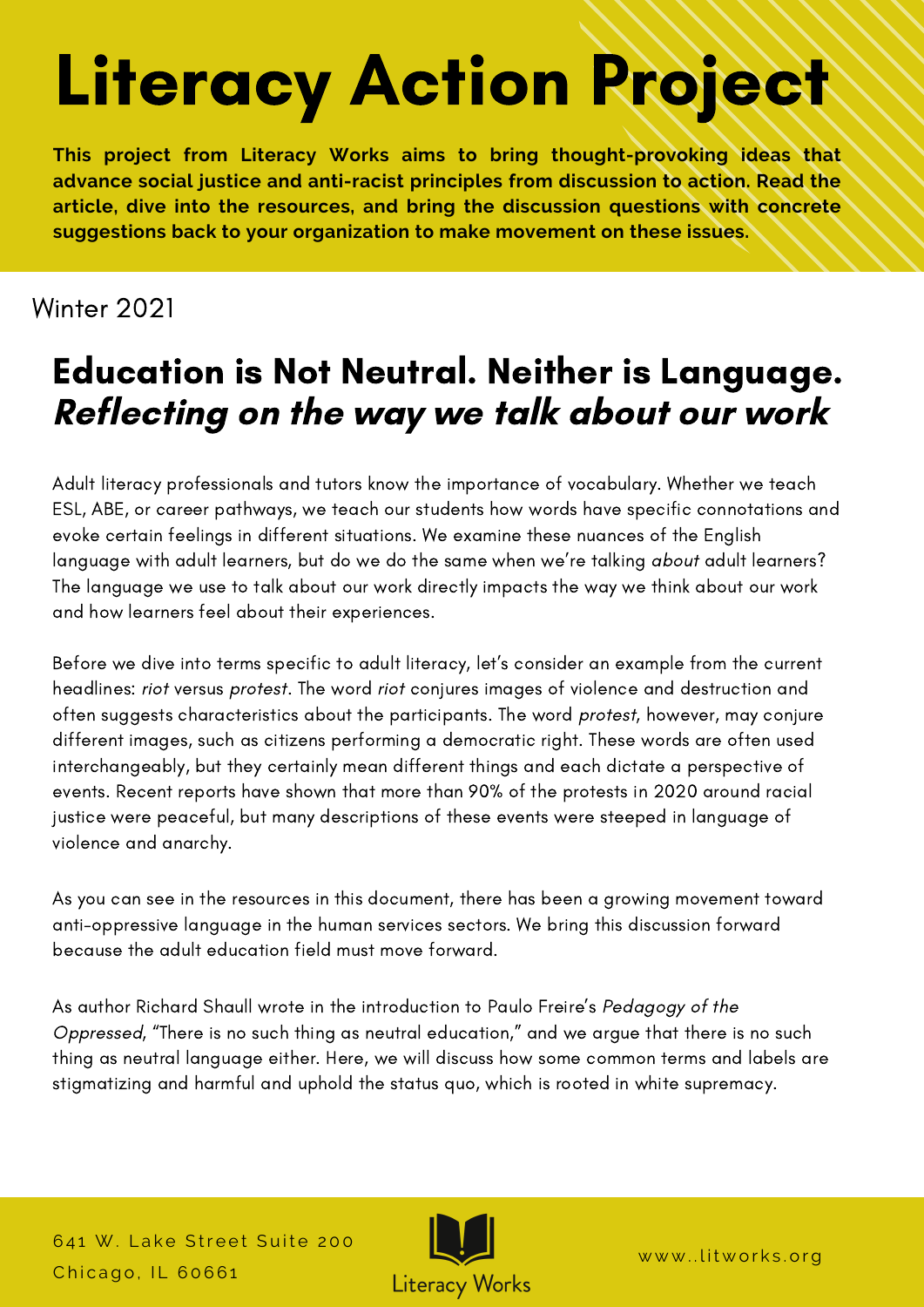# Literacy Action Project

**This project from Literacy Works aims to bring thought-provoking ideas that advance social justice and anti-racist principles from discussion to action. Read the article, dive into the resources, and bring the discussion questions with concrete suggestions back to your organization to make movement on these issues.**

## Winter 2021

## Education is Not Neutral. Neither is Language. Reflecting on the way we talk about our work

Adult literacy professionals and tutors know the importance of vocabulary. Whether we teach ESL, ABE, or career pathways, we teach our students how words have specific connotations and evoke certain feelings in different situations. We examine these nuances of the English language with adult learners, but do we do the same when we're talking about adult learners? The language we use to talk about our work directly impacts the way we think about our work and how learners feel about their experiences.

Before we dive into terms specific to adult literacy, let's consider an example from the current headlines: riot versus protest. The word riot conjures images of violence and destruction and often suggests characteristics about the participants. The word protest, however, may conjure different images, such as citizens performing a democratic right. These words are often used interchangeably, but they certainly mean different things and each dictate a perspective of events. Recent reports have shown that more than 90% of the protests in 2020 around racial justice were peaceful, but many descriptions of these events were steeped in language of violence and anarchy.

As you can see in the resources in this document, there has been a growing movement toward anti-oppressive language in the human services sectors. We bring this discussion forward because the adult education field must move forward.

As author Richard Shaull wrote in the introduction to Paulo Freire's Pedagogy of the Oppressed, "There is no such thing as neutral education," and we argue that there is no such thing as neutral language either. Here, we will discuss how some common terms and labels are stigmatizing and harmful and uphold the status quo, which is rooted in white supremacy.

641 W. Lake Street Suite 200 Chicago, IL 60661



www..litworks.org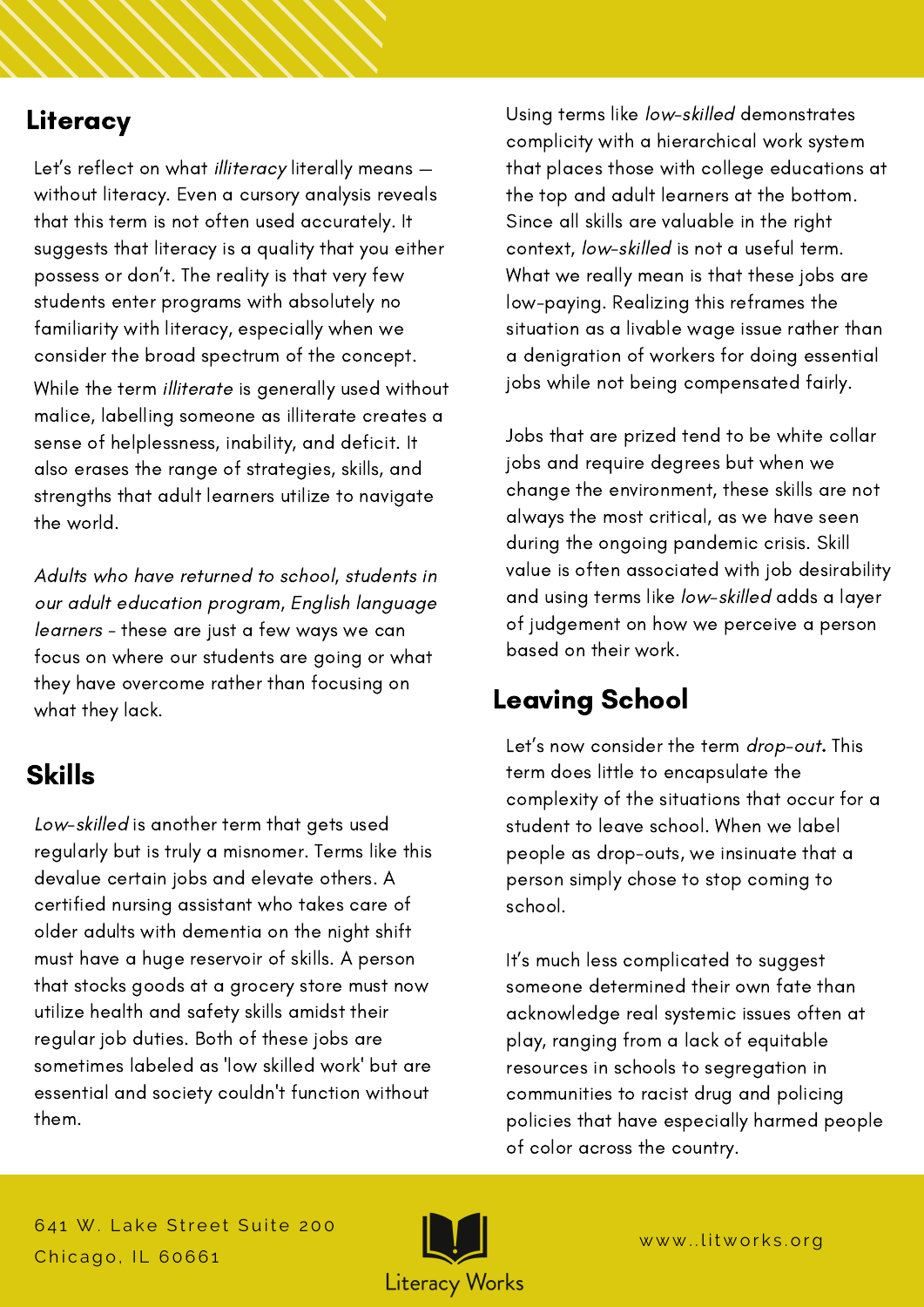### Literacy

Let's reflect on what illiteracy literally means without literacy. Even a cursory analysis reveals that this term is not often used accurately. It suggests that literacy is a quality that you either possess or don't. The reality is that very few students enter programs with absolutely no familiarity with literacy, especially when we consider the broad spectrum of the concept.

While the term illiterate is generally used without malice, labelling someone as illiterate creates a sense of helplessness, inability, and deficit. It also erases the range of strategies, skills, and strengths that adult learners utilize to navigate the world.

Adults who have returned to school, students in our adult education program, English language learners - these are just a few ways we can focus on where our students are going or what they have overcome rather than focusing on what they lack. What they lack.

### Skills

Low-skilled is another term that gets used regularly but is truly a misnomer. Terms like this devalue certain jobs and elevate others. A certified nursing assistant who takes care of older adults with dementia on the night shift must have a huge reservoir of skills. A person that stocks goods at a grocery store must now utilize health and safety skills amidst their regular job duties. Both of these jobs are sometimes labeled as 'low skilled work' but are essential and society couldn't function without them.

Using terms like low-skilled demonstrates complicity with a hierarchical work system that places those with college educations at the top and adult learners at the bottom. Since all skills are valuable in the right context, low-skilled is not a useful term. What we really mean is that these jobs are low-paying. Realizing this reframes the situation as a livable wage issue rather than a denigration of workers for doing essential jobs while not being compensated fairly.

Jobs that are prized tend to be white collar jobs and require degrees but when we change the environment, these skills are not always the most critical, as we have seen during the ongoing pandemic crisis. Skill value is often associated with job desirability and using terms like low-skilled adds a layer of judgement on how we perceive a person based on their work.

Let's now consider the term drop-out. This term does little to encapsulate the complexity of the situations that occur for a student to leave school. When we label people as drop-outs, we insinuate that a person simply chose to stop coming to school.

It's much less complicated to suggest someone determined their own fate than acknowledge real systemic issues often at play, ranging from a lack of equitable resources in schools to segregation in communities to racist drug and policing policies that have especially harmed people of color across the country.

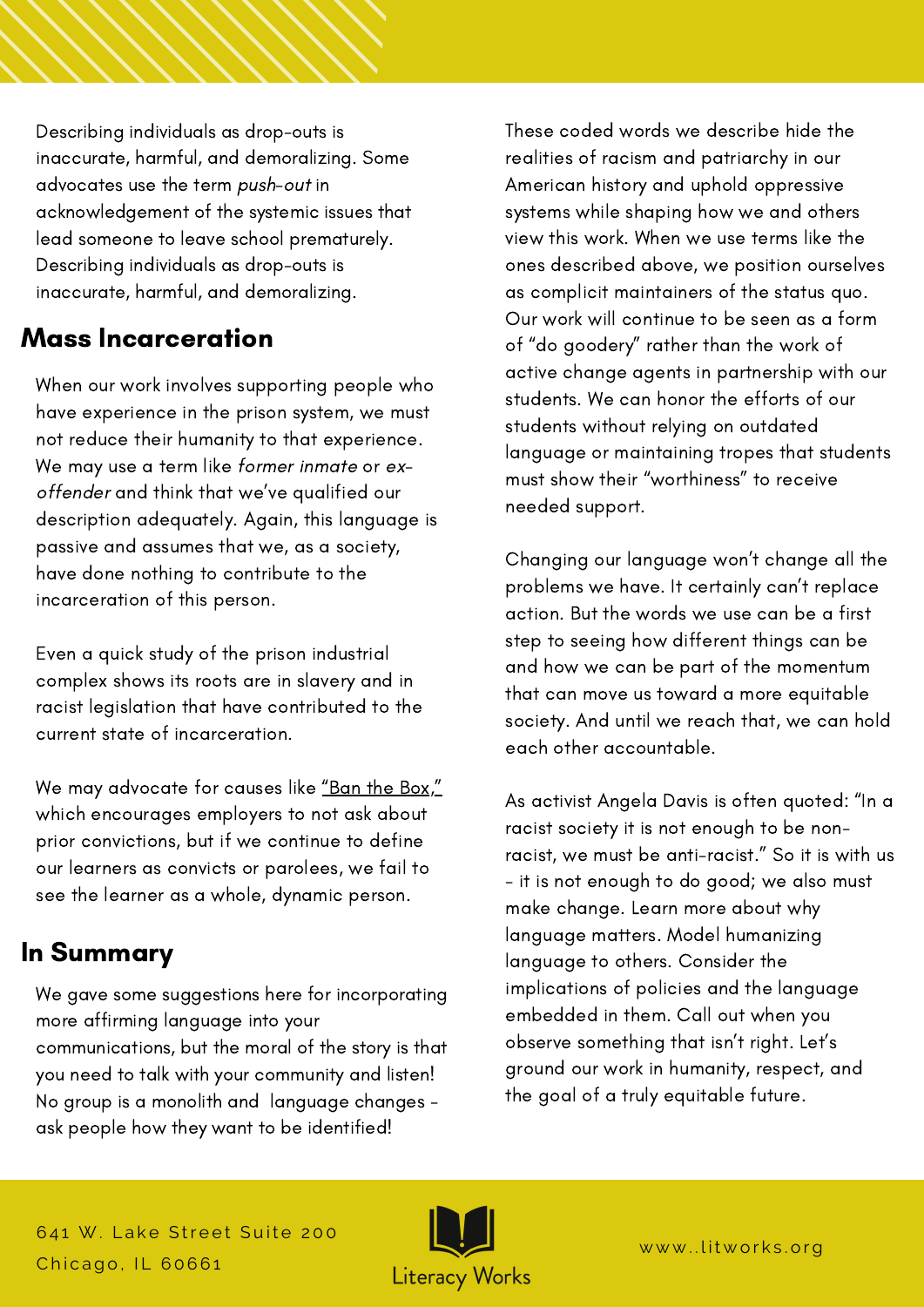Describing individuals as drop-outs is inaccurate, harmful, and demoralizing. Some advocates use the term push-out in acknowledgement of the systemic issues that lead someone to leave school prematurely. Describing individuals as drop-outs is inaccurate, harmful, and demoralizing.

### Mass Incarceration

When our work involves supporting people who have experience in the prison system, we must not reduce their humanity to that experience. We may use a term like former inmate or exoffender and think that we've qualified our description adequately. Again, this language is passive and assumes that we, as a society, have done nothing to contribute to the incarceration of this person.

Even a quick study of the prison industrial complex shows its roots are in slavery and in racist legislation that have contributed to the current state of incarceration.

We may advocate for causes like <u>"Ban the [Box,"](https://bantheboxcampaign.org/)</u> which encourages employers to not ask about prior convictions, but if we continue to define our learners as convicts or parolees, we fail to see the learner as a whole, dynamic person.

## In Summary

We gave some suggestions here for incorporating more affirming language into your communications, but the moral of the story is that you need to talk with your community and listen! No group is a monolith and language changes ask people how they want to be identified!

These coded words we describe hide the realities of racism and patriarchy in our American history and uphold oppressive systems while shaping how we and others view this work. When we use terms like the ones described above, we position ourselves as complicit maintainers of the status quo. Our work will continue to be seen as a form of "do goodery" rather than the work of active change agents in partnership with our students. We can honor the efforts of our students without relying on outdated language or maintaining tropes that students must show their "worthiness" to receive needed support.

Changing our language won't change all the problems we have. It certainly can't replace action. But the words we use can be a first step to seeing how different things can be and how we can be part of the momentum that can move us toward a more equitable society. And until we reach that, we can hold each other accountable.

As activist Angela Davis is often quoted: "In a racist society it is not enough to be nonracist, we must be anti-racist." So it is with us - it is not enough to do good; we also must make change. Learn more about why language matters. Model humanizing language to others. Consider the implications of policies and the language embedded in them. Call out when you observe something that isn't right. Let's ground our work in humanity, respect, and the goal of a truly equitable future.

641 W. Lake Street Suite 200 Chicago, IL 60661

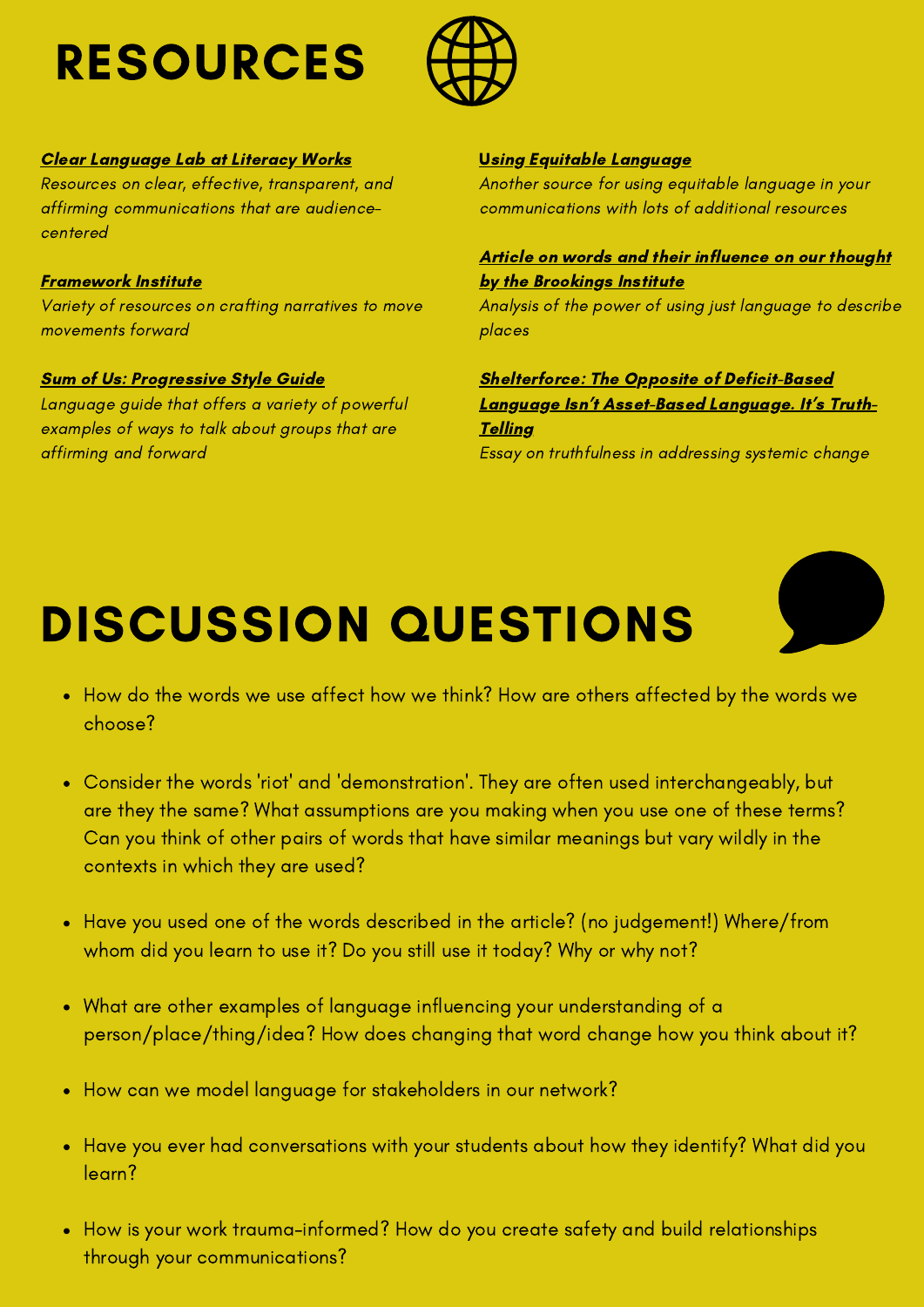## RESOURCES



#### Clear [Language](https://www.litworks.org/clearlanguagelab) Lab at Literacy Works

Resources on clear, effective, transparent, and affirming communications that are audiencecentered

#### [Framework](https://www.frameworksinstitute.org/) Institute

Variety of resources on crafting narratives to move movements forward

#### Sum of Us: [Progressive](https://s3.amazonaws.com/s3.sumofus.org/images/SUMOFUS_PROGRESSIVE-STYLEGUIDE.pdf) Style Guide

Language guide that offers a variety of powerful examples of ways to talk about groups that are affirming and forward

#### [U](https://s3-us-west-2.amazonaws.com/uw-s3-cdn/wp-content/uploads/sites/98/2020/04/20111848/UMAC-Equitable-Language-Guide-v.1.pdf)sing Equitable [Language](https://s3-us-west-2.amazonaws.com/uw-s3-cdn/wp-content/uploads/sites/98/2020/04/20111848/UMAC-Equitable-Language-Guide-v.1.pdf)

Another source for using equitable language in your communications with lots of additional resources

### Article on words and their influence on our thought by the [Brookings](https://www.brookings.edu/blog/the-avenue/2020/07/13/recognizing-that-words-have-the-power-to-harm-we-commit-to-using-more-just-language-to-describe-places/) Institute

Analysis of the power of using just language to describe places

Shelterforce: The Opposite of [Deficit-Based](https://shelterforce.org/2019/11/12/the-opposite-of-deficit-based-language-isnt-asset-based-language-its-truth-telling/#:~:text=Community%20Development%20Field-,The%20Opposite%20of%20Deficit%2DBased%20Language%20Isn) Language Isn't Asset-Based Language. It's Truth-**Telling** Essay on truthfulness in addressing systemic change

## DISCUSSION QUESTIONS

- How do the words we use affect how we think? How are others affected by the words we choose?
- Consider the words 'riot' and 'demonstration'. They are often used interchangeably, but are they the same? What assumptions are you making when you use one of these terms? Can you think of other pairs of words that have similar meanings but vary wildly in the contexts in which they are used?
- Have you used one of the words described in the article? (no judgement!) Where/from whom did you learn to use it? Do you still use it today? Why or why not?
- What are other examples of language influencing your understanding of a person/place/thing/idea? How does changing that word change how you think about it?
- How can we model language for stakeholders in our network?
- Have you ever had conversations with your students about how they identify? What did you learn?
- How is your work trauma-informed? How do you create safety and build relationships through your communications?